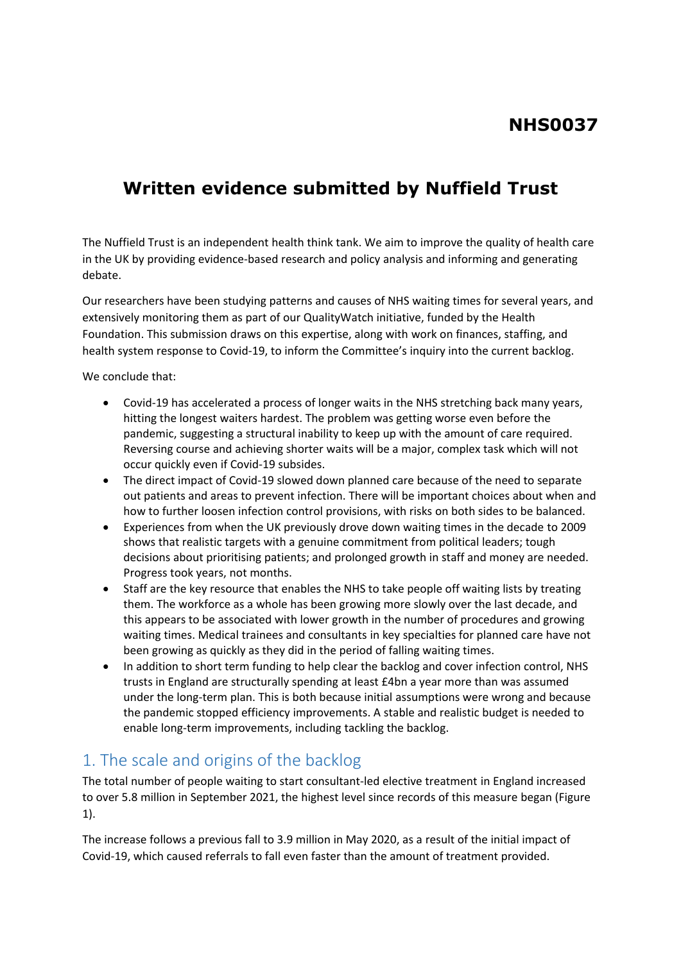# **NHS0037**

# **Written evidence submitted by Nuffield Trust**

The Nuffield Trust is an independent health think tank. We aim to improve the quality of health care in the UK by providing evidence-based research and policy analysis and informing and generating debate.

Our researchers have been studying patterns and causes of NHS waiting times for several years, and extensively monitoring them as part of our QualityWatch initiative, funded by the Health Foundation. This submission draws on this expertise, along with work on finances, staffing, and health system response to Covid-19, to inform the Committee's inquiry into the current backlog.

We conclude that:

- Covid-19 has accelerated a process of longer waits in the NHS stretching back many years, hitting the longest waiters hardest. The problem was getting worse even before the pandemic, suggesting a structural inability to keep up with the amount of care required. Reversing course and achieving shorter waits will be a major, complex task which will not occur quickly even if Covid-19 subsides.
- The direct impact of Covid-19 slowed down planned care because of the need to separate out patients and areas to prevent infection. There will be important choices about when and how to further loosen infection control provisions, with risks on both sides to be balanced.
- Experiences from when the UK previously drove down waiting times in the decade to 2009 shows that realistic targets with a genuine commitment from political leaders; tough decisions about prioritising patients; and prolonged growth in staff and money are needed. Progress took years, not months.
- Staff are the key resource that enables the NHS to take people off waiting lists by treating them. The workforce as a whole has been growing more slowly over the last decade, and this appears to be associated with lower growth in the number of procedures and growing waiting times. Medical trainees and consultants in key specialties for planned care have not been growing as quickly as they did in the period of falling waiting times.
- In addition to short term funding to help clear the backlog and cover infection control, NHS trusts in England are structurally spending at least £4bn a year more than was assumed under the long-term plan. This is both because initial assumptions were wrong and because the pandemic stopped efficiency improvements. A stable and realistic budget is needed to enable long-term improvements, including tackling the backlog.

# 1. The scale and origins of the backlog

The total number of people waiting to start consultant-led elective treatment in England increased to over 5.8 million in September 2021, the highest level since records of this measure began (Figure 1).

The increase follows a previous fall to 3.9 million in May 2020, as a result of the initial impact of Covid-19, which caused referrals to fall even faster than the amount of treatment provided.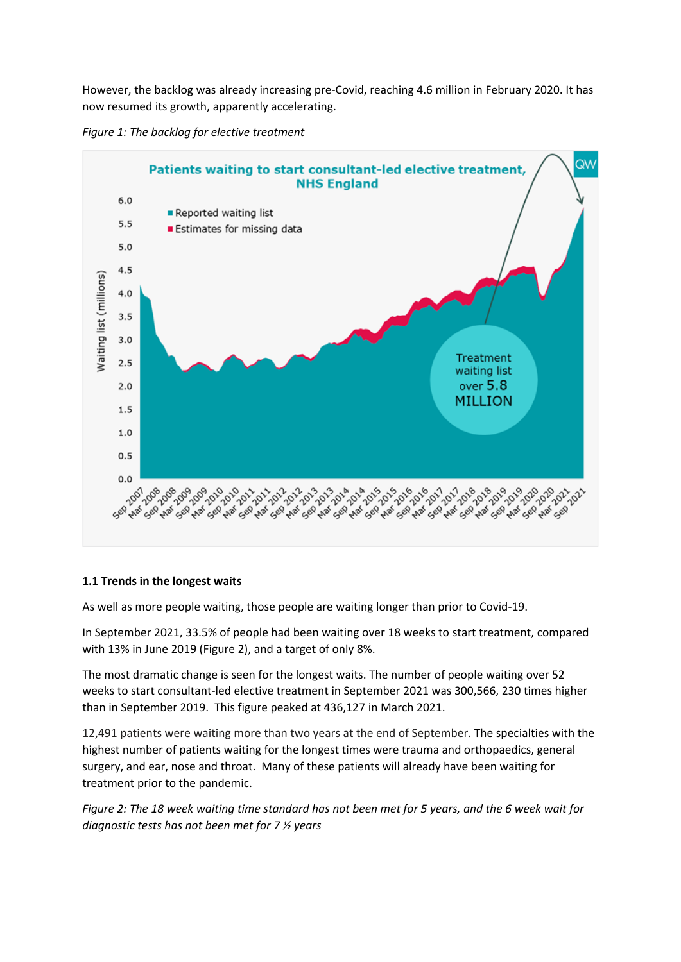However, the backlog was already increasing pre-Covid, reaching 4.6 million in February 2020. It has now resumed its growth, apparently accelerating.





#### **1.1 Trends in the longest waits**

As well as more people waiting, those people are waiting longer than prior to Covid-19.

In September 2021, 33.5% of people had been waiting over 18 weeks to start treatment, compared with 13% in June 2019 (Figure 2), and a target of only 8%.

The most dramatic change is seen for the longest waits. The number of people waiting over 52 weeks to start consultant-led elective treatment in September 2021 was 300,566, 230 times higher than in September 2019. This figure peaked at 436,127 in March 2021.

12,491 patients were waiting more than two years at the end of September. The specialties with the highest number of patients waiting for the longest times were trauma and orthopaedics, general surgery, and ear, nose and throat. Many of these patients will already have been waiting for treatment prior to the pandemic.

Figure 2: The 18 week waiting time standard has not been met for 5 years, and the 6 week wait for *diagnostic tests has not been met for 7 ½ years*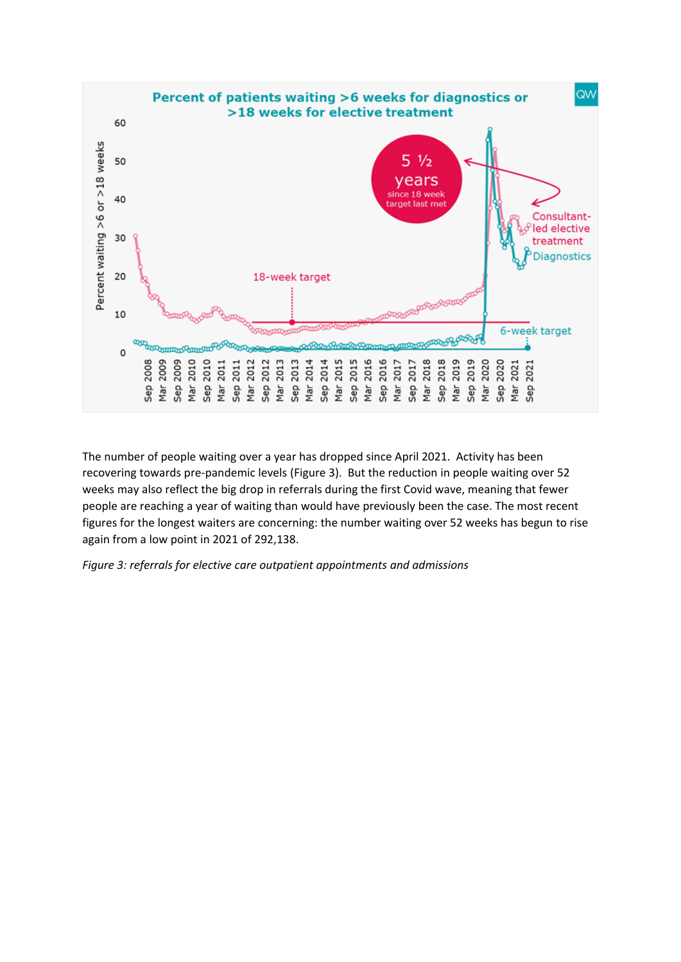

The number of people waiting over a year has dropped since April 2021. Activity has been recovering towards pre-pandemic levels (Figure 3). But the reduction in people waiting over 52 weeks may also reflect the big drop in referrals during the first Covid wave, meaning that fewer people are reaching a year of waiting than would have previously been the case. The most recent figures for the longest waiters are concerning: the number waiting over 52 weeks has begun to rise again from a low point in 2021 of 292,138.

*Figure 3: referrals for elective care outpatient appointments and admissions*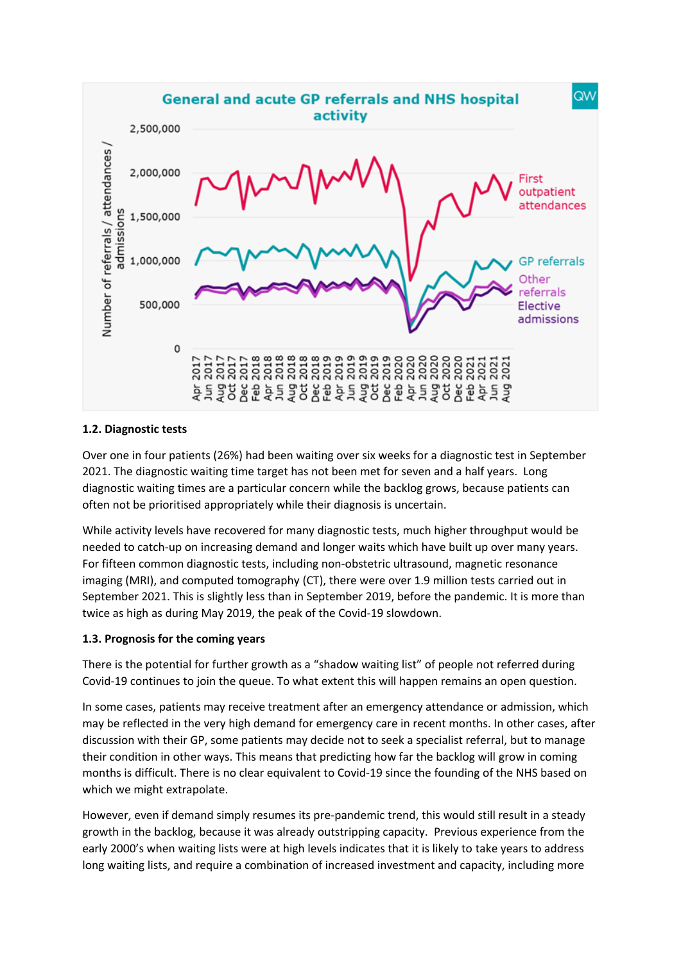

## **1.2. Diagnostic tests**

Over one in four patients (26%) had been waiting over six weeks for a diagnostic test in September 2021. The diagnostic waiting time target has not been met for seven and a half years. Long diagnostic waiting times are a particular concern while the backlog grows, because patients can often not be prioritised appropriately while their diagnosis is uncertain.

While activity levels have recovered for many diagnostic tests, much higher throughput would be needed to catch-up on increasing demand and longer waits which have built up over many years. For fifteen common diagnostic tests, including non-obstetric ultrasound, magnetic resonance imaging (MRI), and computed tomography (CT), there were over 1.9 million tests carried out in September 2021. This is slightly less than in September 2019, before the pandemic. It is more than twice as high as during May 2019, the peak of the Covid-19 slowdown.

## **1.3. Prognosis for the coming years**

There is the potential for further growth as a "shadow waiting list" of people not referred during Covid-19 continues to join the queue. To what extent this will happen remains an open question.

In some cases, patients may receive treatment after an emergency attendance or admission, which may be reflected in the very high demand for emergency care in recent months. In other cases, after discussion with their GP, some patients may decide not to seek a specialist referral, but to manage their condition in other ways. This means that predicting how far the backlog will grow in coming months is difficult. There is no clear equivalent to Covid-19 since the founding of the NHS based on which we might extrapolate.

However, even if demand simply resumes its pre-pandemic trend, this would still result in a steady growth in the backlog, because it was already outstripping capacity. Previous experience from the early 2000's when waiting lists were at high levels indicates that it is likely to take years to address long waiting lists, and require a combination of increased investment and capacity, including more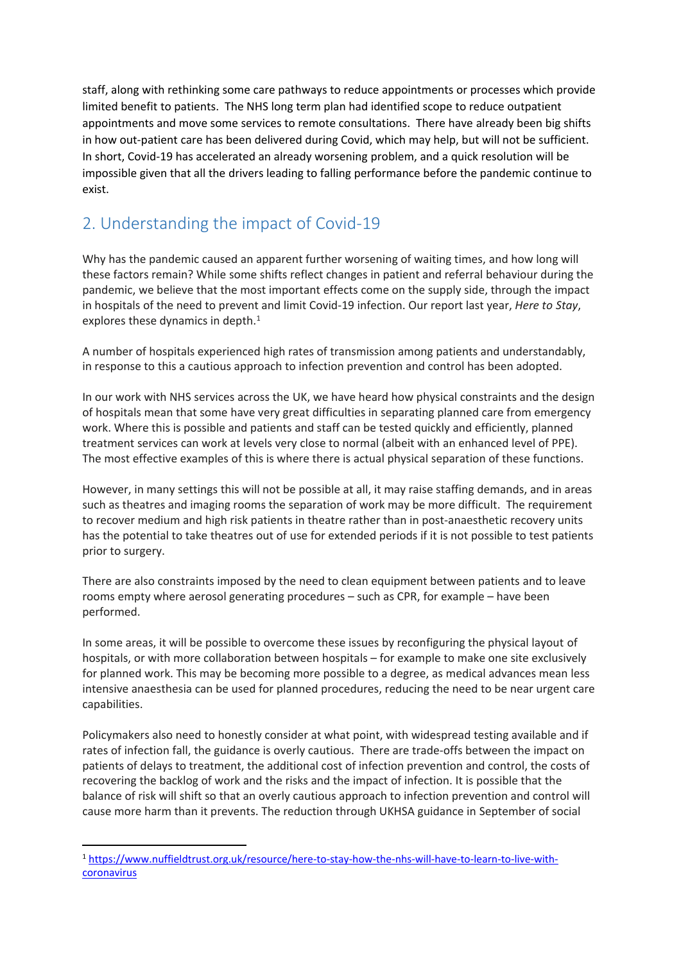staff, along with rethinking some care pathways to reduce appointments or processes which provide limited benefit to patients. The NHS long term plan had identified scope to reduce outpatient appointments and move some services to remote consultations. There have already been big shifts in how out-patient care has been delivered during Covid, which may help, but will not be sufficient. In short, Covid-19 has accelerated an already worsening problem, and a quick resolution will be impossible given that all the drivers leading to falling performance before the pandemic continue to exist.

# 2. Understanding the impact of Covid-19

Why has the pandemic caused an apparent further worsening of waiting times, and how long will these factors remain? While some shifts reflect changes in patient and referral behaviour during the pandemic, we believe that the most important effects come on the supply side, through the impact in hospitals of the need to prevent and limit Covid-19 infection. Our report last year, *Here to Stay*, explores these dynamics in depth.<sup>1</sup>

A number of hospitals experienced high rates of transmission among patients and understandably, in response to this a cautious approach to infection prevention and control has been adopted.

In our work with NHS services across the UK, we have heard how physical constraints and the design of hospitals mean that some have very great difficulties in separating planned care from emergency work. Where this is possible and patients and staff can be tested quickly and efficiently, planned treatment services can work at levels very close to normal (albeit with an enhanced level of PPE). The most effective examples of this is where there is actual physical separation of these functions.

However, in many settings this will not be possible at all, it may raise staffing demands, and in areas such as theatres and imaging rooms the separation of work may be more difficult. The requirement to recover medium and high risk patients in theatre rather than in post-anaesthetic recovery units has the potential to take theatres out of use for extended periods if it is not possible to test patients prior to surgery.

There are also constraints imposed by the need to clean equipment between patients and to leave rooms empty where aerosol generating procedures – such as CPR, for example – have been performed.

In some areas, it will be possible to overcome these issues by reconfiguring the physical layout of hospitals, or with more collaboration between hospitals – for example to make one site exclusively for planned work. This may be becoming more possible to a degree, as medical advances mean less intensive anaesthesia can be used for planned procedures, reducing the need to be near urgent care capabilities.

Policymakers also need to honestly consider at what point, with widespread testing available and if rates of infection fall, the guidance is overly cautious. There are trade-offs between the impact on patients of delays to treatment, the additional cost of infection prevention and control, the costs of recovering the backlog of work and the risks and the impact of infection. It is possible that the balance of risk will shift so that an overly cautious approach to infection prevention and control will cause more harm than it prevents. The reduction through UKHSA guidance in September of social

<sup>1</sup> [https://www.nuffieldtrust.org.uk/resource/here-to-stay-how-the-nhs-will-have-to-learn-to-live-with](https://www.nuffieldtrust.org.uk/resource/here-to-stay-how-the-nhs-will-have-to-learn-to-live-with-coronavirus)[coronavirus](https://www.nuffieldtrust.org.uk/resource/here-to-stay-how-the-nhs-will-have-to-learn-to-live-with-coronavirus)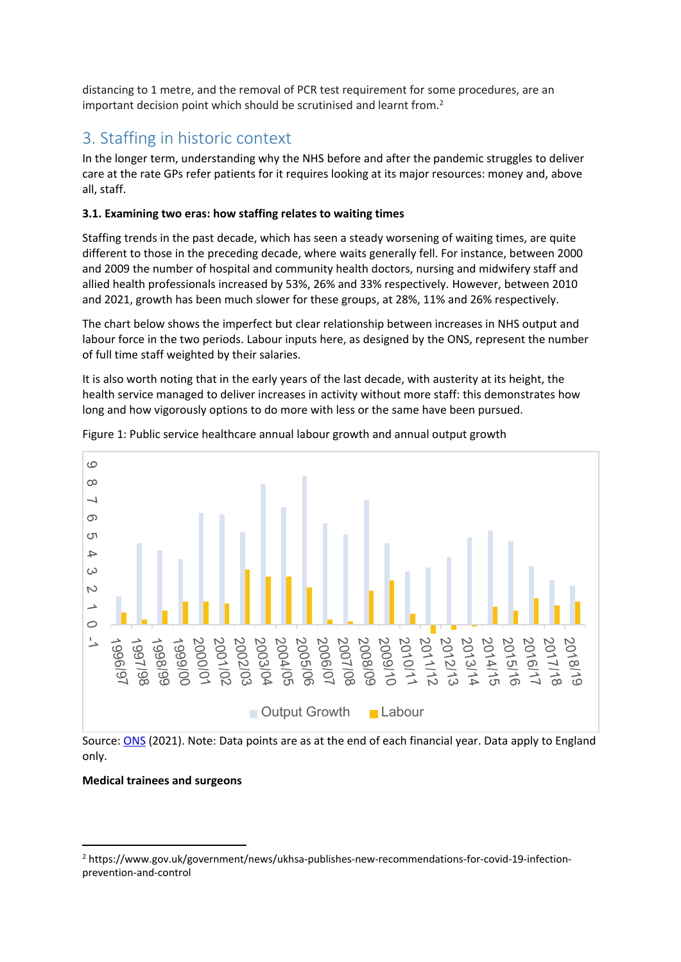distancing to 1 metre, and the removal of PCR test requirement for some procedures, are an important decision point which should be scrutinised and learnt from.<sup>2</sup>

# 3. Staffing in historic context

In the longer term, understanding why the NHS before and after the pandemic struggles to deliver care at the rate GPs refer patients for it requires looking at its major resources: money and, above all, staff.

### **3.1. Examining two eras: how staffing relates to waiting times**

Staffing trends in the past decade, which has seen a steady worsening of waiting times, are quite different to those in the preceding decade, where waits generally fell. For instance, between 2000 and 2009 the number of hospital and community health doctors, nursing and midwifery staff and allied health professionals increased by 53%, 26% and 33% respectively. However, between 2010 and 2021, growth has been much slower for these groups, at 28%, 11% and 26% respectively.

The chart below shows the imperfect but clear relationship between increases in NHS output and labour force in the two periods. Labour inputs here, as designed by the ONS, represent the number of full time staff weighted by their salaries.

It is also worth noting that in the early years of the last decade, with austerity at its height, the health service managed to deliver increases in activity without more staff: this demonstrates how long and how vigorously options to do more with less or the same have been pursued.



Figure 1: Public service healthcare annual labour growth and annual output growth

Source: [ONS](https://www.ons.gov.uk/economy/economicoutputandproductivity/publicservicesproductivity/articles/publicservicesproductivityestimateshealthcare/financialyearending2019) (2021). Note: Data points are as at the end of each financial year. Data apply to England only.

#### **Medical trainees and surgeons**

<sup>2</sup> https://www.gov.uk/government/news/ukhsa-publishes-new-recommendations-for-covid-19-infectionprevention-and-control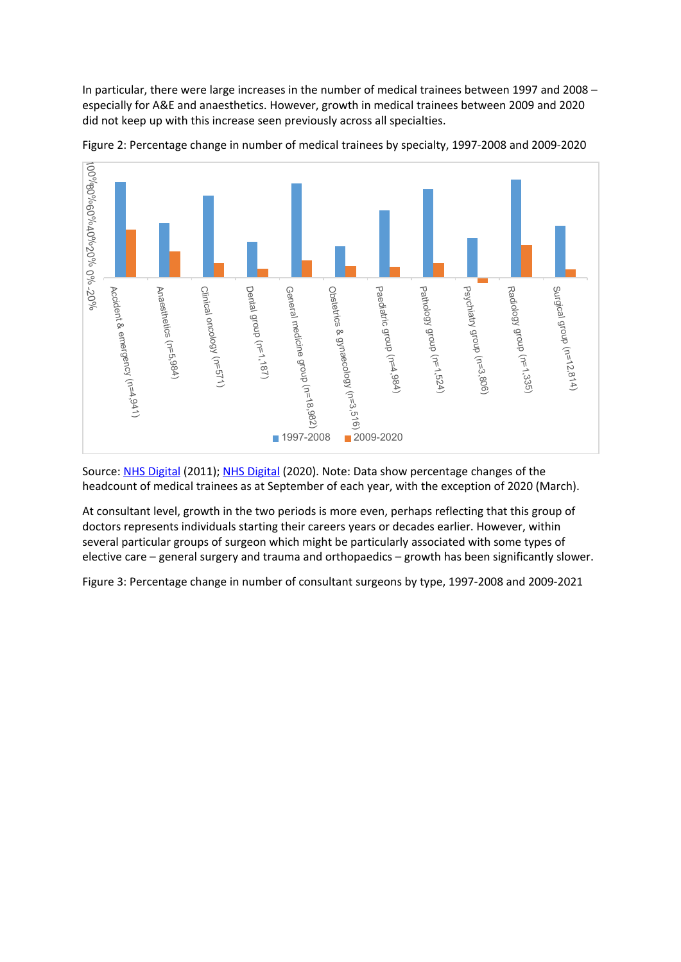In particular, there were large increases in the number of medical trainees between 1997 and 2008 – especially for A&E and anaesthetics. However, growth in medical trainees between 2009 and 2020 did not keep up with this increase seen previously across all specialties.



Figure 2: Percentage change in number of medical trainees by specialty, 1997-2008 and 2009-2020

Source: [NHS](https://digital.nhs.uk/data-and-information/publications/statistical/nhs-workforce-statistics-overview/nhs-staff-2000-2010-overview) [Digital](https://digital.nhs.uk/data-and-information/publications/statistical/nhs-workforce-statistics-overview/nhs-staff-2000-2010-overview) (2011); [NHS](https://digital.nhs.uk/data-and-information/supplementary-information/2020/hchs-doctors-by-specialty-grade-and-gender-march-2020-ah3517) [Digital](https://digital.nhs.uk/data-and-information/supplementary-information/2020/hchs-doctors-by-specialty-grade-and-gender-march-2020-ah3517) (2020). Note: Data show percentage changes of the headcount of medical trainees as at September of each year, with the exception of 2020 (March).

At consultant level, growth in the two periods is more even, perhaps reflecting that this group of doctors represents individuals starting their careers years or decades earlier. However, within several particular groups of surgeon which might be particularly associated with some types of elective care – general surgery and trauma and orthopaedics – growth has been significantly slower.

Figure 3: Percentage change in number of consultant surgeons by type, 1997-2008 and 2009-2021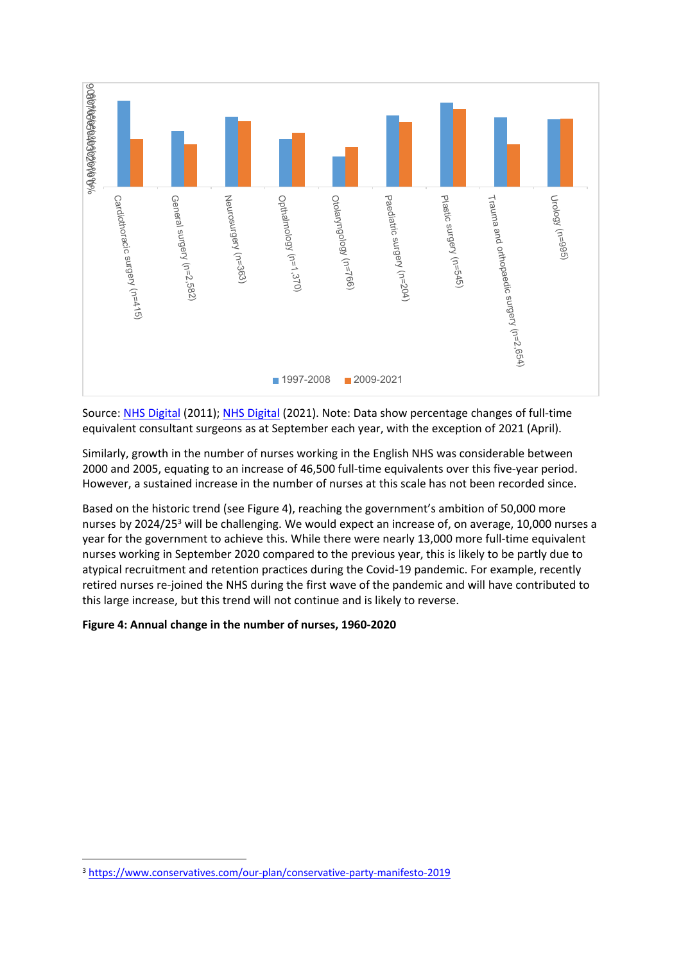

Source: [NHS](https://digital.nhs.uk/data-and-information/publications/statistical/nhs-workforce-statistics-overview/nhs-staff-2000-2010-overview) [Digital](https://digital.nhs.uk/data-and-information/publications/statistical/nhs-workforce-statistics-overview/nhs-staff-2000-2010-overview) (2011); [NHS](https://digital.nhs.uk/data-and-information/publications/statistical/nhs-workforce-statistics/april-2021) [Digital](https://digital.nhs.uk/data-and-information/publications/statistical/nhs-workforce-statistics/april-2021) (2021). Note: Data show percentage changes of full-time equivalent consultant surgeons as at September each year, with the exception of 2021 (April).

Similarly, growth in the number of nurses working in the English NHS was considerable between 2000 and 2005, equating to an increase of 46,500 full-time equivalents over this five-year period. However, a sustained increase in the number of nurses at this scale has not been recorded since.

Based on the historic trend (see Figure 4), reaching the government's ambition of 50,000 more nurses by 2024/25<sup>3</sup> will be challenging. We would expect an increase of, on average, 10,000 nurses a year for the government to achieve this. While there were nearly 13,000 more full-time equivalent nurses working in September 2020 compared to the previous year, this is likely to be partly due to atypical recruitment and retention practices during the Covid-19 pandemic. For example, recently retired nurses re-joined the NHS during the first wave of the pandemic and will have contributed to this large increase, but this trend will not continue and is likely to reverse.

#### **Figure 4: Annual change in the number of nurses, 1960-2020**

<sup>3</sup> <https://www.conservatives.com/our-plan/conservative-party-manifesto-2019>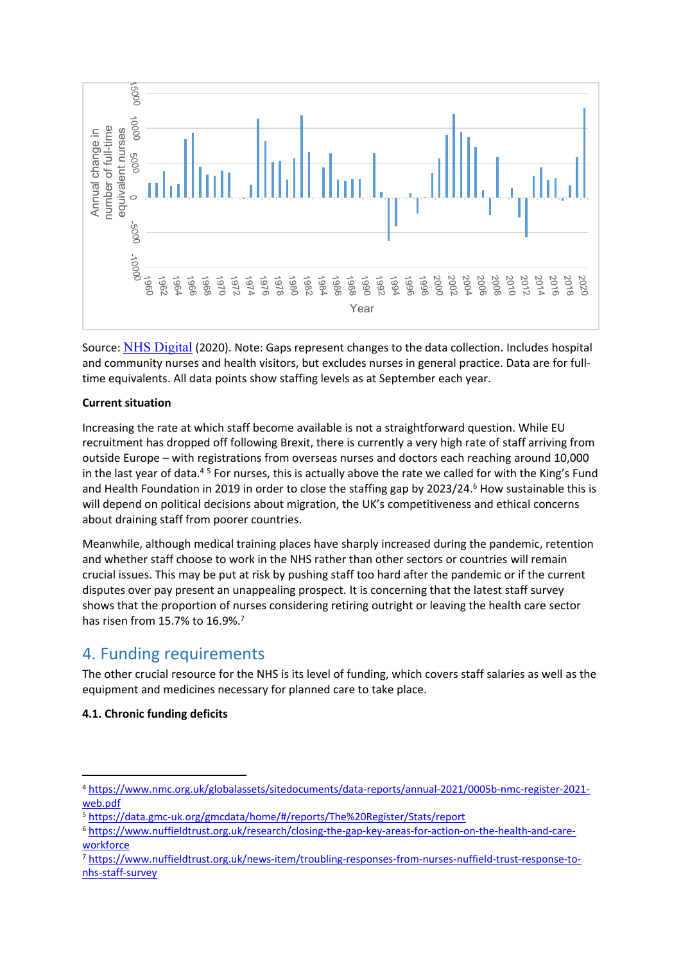

Source: [NHS](https://digital.nhs.uk/data-and-information/publications/statistical/nhs-workforce-statistics/september-2020) [Digital](https://digital.nhs.uk/data-and-information/publications/statistical/nhs-workforce-statistics/september-2020) (2020). Note: Gaps represent changes to the data collection. Includes hospital and community nurses and health visitors, but excludes nurses in general practice. Data are for fulltime equivalents. All data points show staffing levels as at September each year.

#### **Current situation**

Increasing the rate at which staff become available is not a straightforward question. While EU recruitment has dropped off following Brexit, there is currently a very high rate of staff arriving from outside Europe – with registrations from overseas nurses and doctors each reaching around 10,000 in the last year of data. $45$  For nurses, this is actually above the rate we called for with the King's Fund and Health Foundation in 2019 in order to close the staffing gap by 2023/24.<sup>6</sup> How sustainable this is will depend on political decisions about migration, the UK's competitiveness and ethical concerns about draining staff from poorer countries.

Meanwhile, although medical training places have sharply increased during the pandemic, retention and whether staff choose to work in the NHS rather than other sectors or countries will remain crucial issues. This may be put at risk by pushing staff too hard after the pandemic or if the current disputes over pay present an unappealing prospect. It is concerning that the latest staff survey shows that the proportion of nurses considering retiring outright or leaving the health care sector has risen from 15.7% to 16.9%.<sup>7</sup>

## 4. Funding requirements

The other crucial resource for the NHS is its level of funding, which covers staff salaries as well as the equipment and medicines necessary for planned care to take place.

## **4.1. Chronic funding deficits**

<sup>4</sup> [https://www.nmc.org.uk/globalassets/sitedocuments/data-reports/annual-2021/0005b-nmc-register-2021](https://www.nmc.org.uk/globalassets/sitedocuments/data-reports/annual-2021/0005b-nmc-register-2021-web.pdf) [web.pdf](https://www.nmc.org.uk/globalassets/sitedocuments/data-reports/annual-2021/0005b-nmc-register-2021-web.pdf)

<sup>5</sup> <https://data.gmc-uk.org/gmcdata/home/#/reports/The%20Register/Stats/report>

<sup>6</sup> [https://www.nuffieldtrust.org.uk/research/closing-the-gap-key-areas-for-action-on-the-health-and-care](https://www.nuffieldtrust.org.uk/research/closing-the-gap-key-areas-for-action-on-the-health-and-care-workforce)[workforce](https://www.nuffieldtrust.org.uk/research/closing-the-gap-key-areas-for-action-on-the-health-and-care-workforce)

<sup>7</sup> [https://www.nuffieldtrust.org.uk/news-item/troubling-responses-from-nurses-nuffield-trust-response-to](https://www.nuffieldtrust.org.uk/news-item/troubling-responses-from-nurses-nuffield-trust-response-to-nhs-staff-survey)[nhs-staff-survey](https://www.nuffieldtrust.org.uk/news-item/troubling-responses-from-nurses-nuffield-trust-response-to-nhs-staff-survey)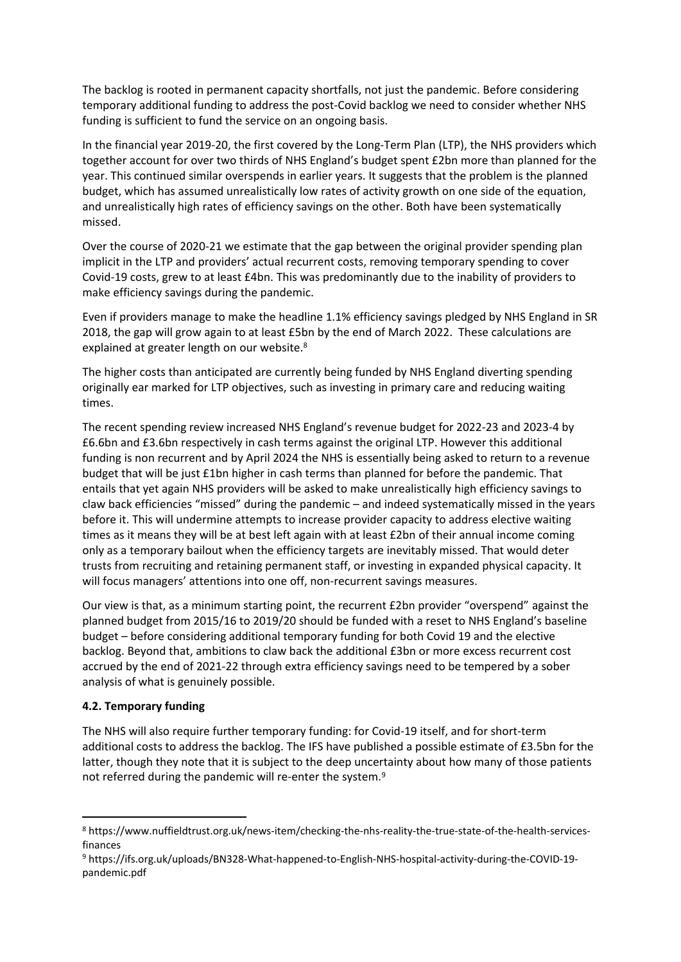The backlog is rooted in permanent capacity shortfalls, not just the pandemic. Before considering temporary additional funding to address the post-Covid backlog we need to consider whether NHS funding is sufficient to fund the service on an ongoing basis.

In the financial year 2019-20, the first covered by the Long-Term Plan (LTP), the NHS providers which together account for over two thirds of NHS England's budget spent £2bn more than planned for the year. This continued similar overspends in earlier years. It suggests that the problem is the planned budget, which has assumed unrealistically low rates of activity growth on one side of the equation, and unrealistically high rates of efficiency savings on the other. Both have been systematically missed.

Over the course of 2020-21 we estimate that the gap between the original provider spending plan implicit in the LTP and providers' actual recurrent costs, removing temporary spending to cover Covid-19 costs, grew to at least £4bn. This was predominantly due to the inability of providers to make efficiency savings during the pandemic.

Even if providers manage to make the headline 1.1% efficiency savings pledged by NHS England in SR 2018, the gap will grow again to at least £5bn by the end of March 2022. These calculations are explained at greater length on our website.<sup>8</sup>

The higher costs than anticipated are currently being funded by NHS England diverting spending originally ear marked for LTP objectives, such as investing in primary care and reducing waiting times.

The recent spending review increased NHS England's revenue budget for 2022-23 and 2023-4 by £6.6bn and £3.6bn respectively in cash terms against the original LTP. However this additional funding is non recurrent and by April 2024 the NHS is essentially being asked to return to a revenue budget that will be just £1bn higher in cash terms than planned for before the pandemic. That entails that yet again NHS providers will be asked to make unrealistically high efficiency savings to claw back efficiencies "missed" during the pandemic – and indeed systematically missed in the years before it. This will undermine attempts to increase provider capacity to address elective waiting times as it means they will be at best left again with at least £2bn of their annual income coming only as a temporary bailout when the efficiency targets are inevitably missed. That would deter trusts from recruiting and retaining permanent staff, or investing in expanded physical capacity. It will focus managers' attentions into one off, non-recurrent savings measures.

Our view is that, as a minimum starting point, the recurrent £2bn provider "overspend" against the planned budget from 2015/16 to 2019/20 should be funded with a reset to NHS England's baseline budget – before considering additional temporary funding for both Covid 19 and the elective backlog. Beyond that, ambitions to claw back the additional £3bn or more excess recurrent cost accrued by the end of 2021-22 through extra efficiency savings need to be tempered by a sober analysis of what is genuinely possible.

## **4.2. Temporary funding**

The NHS will also require further temporary funding: for Covid-19 itself, and for short-term additional costs to address the backlog. The IFS have published a possible estimate of £3.5bn for the latter, though they note that it is subject to the deep uncertainty about how many of those patients not referred during the pandemic will re-enter the system.<sup>9</sup>

<sup>8</sup> https://www.nuffieldtrust.org.uk/news-item/checking-the-nhs-reality-the-true-state-of-the-health-servicesfinances

<sup>9</sup> https://ifs.org.uk/uploads/BN328-What-happened-to-English-NHS-hospital-activity-during-the-COVID-19 pandemic.pdf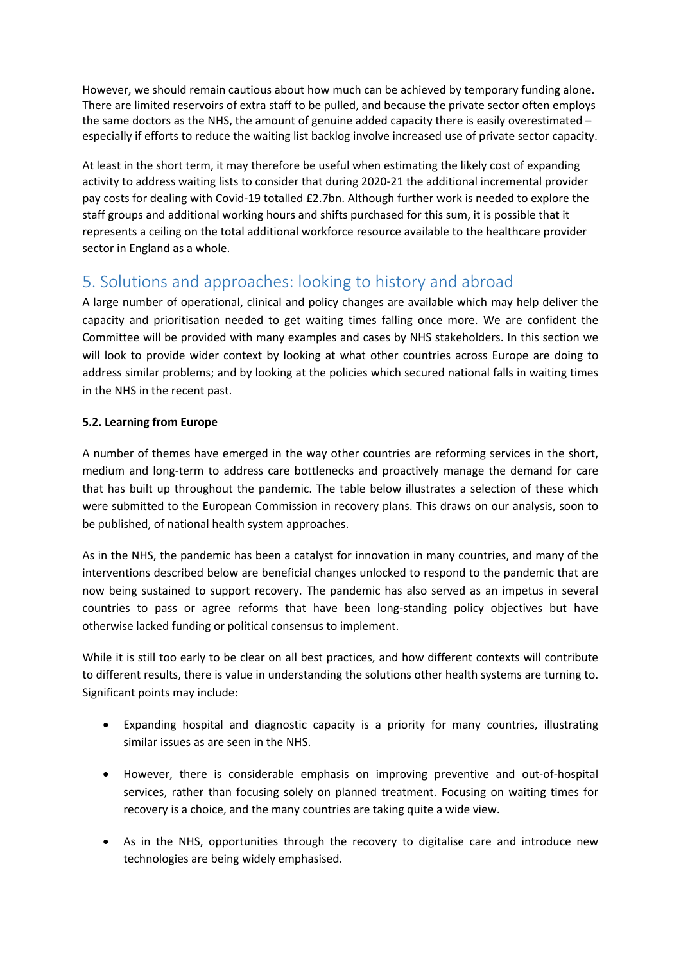However, we should remain cautious about how much can be achieved by temporary funding alone. There are limited reservoirs of extra staff to be pulled, and because the private sector often employs the same doctors as the NHS, the amount of genuine added capacity there is easily overestimated – especially if efforts to reduce the waiting list backlog involve increased use of private sector capacity.

At least in the short term, it may therefore be useful when estimating the likely cost of expanding activity to address waiting lists to consider that during 2020-21 the additional incremental provider pay costs for dealing with Covid-19 totalled £2.7bn. Although further work is needed to explore the staff groups and additional working hours and shifts purchased for this sum, it is possible that it represents a ceiling on the total additional workforce resource available to the healthcare provider sector in England as a whole.

# 5. Solutions and approaches: looking to history and abroad

A large number of operational, clinical and policy changes are available which may help deliver the capacity and prioritisation needed to get waiting times falling once more. We are confident the Committee will be provided with many examples and cases by NHS stakeholders. In this section we will look to provide wider context by looking at what other countries across Europe are doing to address similar problems; and by looking at the policies which secured national falls in waiting times in the NHS in the recent past.

## **5.2. Learning from Europe**

A number of themes have emerged in the way other countries are reforming services in the short, medium and long-term to address care bottlenecks and proactively manage the demand for care that has built up throughout the pandemic. The table below illustrates a selection of these which were submitted to the European Commission in recovery plans. This draws on our analysis, soon to be published, of national health system approaches.

As in the NHS, the pandemic has been a catalyst for innovation in many countries, and many of the interventions described below are beneficial changes unlocked to respond to the pandemic that are now being sustained to support recovery. The pandemic has also served as an impetus in several countries to pass or agree reforms that have been long-standing policy objectives but have otherwise lacked funding or political consensus to implement.

While it is still too early to be clear on all best practices, and how different contexts will contribute to different results, there is value in understanding the solutions other health systems are turning to. Significant points may include:

- Expanding hospital and diagnostic capacity is a priority for many countries, illustrating similar issues as are seen in the NHS.
- However, there is considerable emphasis on improving preventive and out-of-hospital services, rather than focusing solely on planned treatment. Focusing on waiting times for recovery is a choice, and the many countries are taking quite a wide view.
- As in the NHS, opportunities through the recovery to digitalise care and introduce new technologies are being widely emphasised.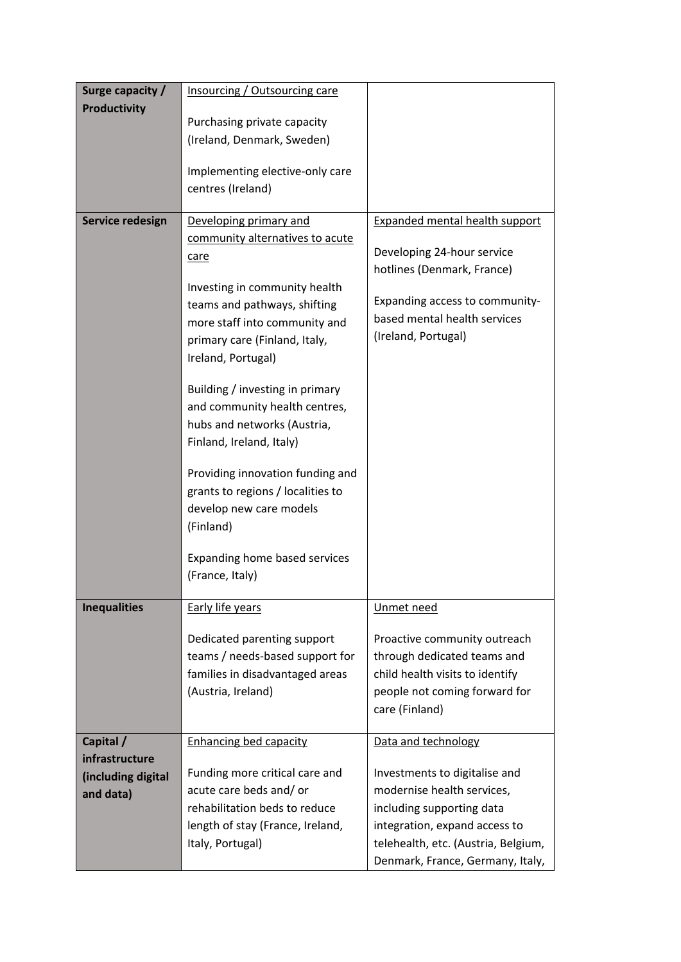| Surge capacity /    | Insourcing / Outsourcing care     |                                       |
|---------------------|-----------------------------------|---------------------------------------|
| <b>Productivity</b> |                                   |                                       |
|                     | Purchasing private capacity       |                                       |
|                     | (Ireland, Denmark, Sweden)        |                                       |
|                     | Implementing elective-only care   |                                       |
|                     | centres (Ireland)                 |                                       |
|                     |                                   |                                       |
| Service redesign    | Developing primary and            | <b>Expanded mental health support</b> |
|                     | community alternatives to acute   | Developing 24-hour service            |
|                     | care                              | hotlines (Denmark, France)            |
|                     | Investing in community health     |                                       |
|                     | teams and pathways, shifting      | Expanding access to community-        |
|                     | more staff into community and     | based mental health services          |
|                     | primary care (Finland, Italy,     | (Ireland, Portugal)                   |
|                     | Ireland, Portugal)                |                                       |
|                     |                                   |                                       |
|                     | Building / investing in primary   |                                       |
|                     | and community health centres,     |                                       |
|                     | hubs and networks (Austria,       |                                       |
|                     | Finland, Ireland, Italy)          |                                       |
|                     | Providing innovation funding and  |                                       |
|                     | grants to regions / localities to |                                       |
|                     | develop new care models           |                                       |
|                     | (Finland)                         |                                       |
|                     |                                   |                                       |
|                     | Expanding home based services     |                                       |
|                     | (France, Italy)                   |                                       |
| <b>Inequalities</b> | <b>Early life years</b>           | Unmet need                            |
|                     |                                   |                                       |
|                     | Dedicated parenting support       | Proactive community outreach          |
|                     | teams / needs-based support for   | through dedicated teams and           |
|                     | families in disadvantaged areas   | child health visits to identify       |
|                     | (Austria, Ireland)                | people not coming forward for         |
|                     |                                   | care (Finland)                        |
| Capital /           | <b>Enhancing bed capacity</b>     | Data and technology                   |
| infrastructure      |                                   |                                       |
| (including digital  | Funding more critical care and    | Investments to digitalise and         |
| and data)           | acute care beds and/ or           | modernise health services,            |
|                     | rehabilitation beds to reduce     | including supporting data             |
|                     | length of stay (France, Ireland,  | integration, expand access to         |
|                     | Italy, Portugal)                  | telehealth, etc. (Austria, Belgium,   |
|                     |                                   | Denmark, France, Germany, Italy,      |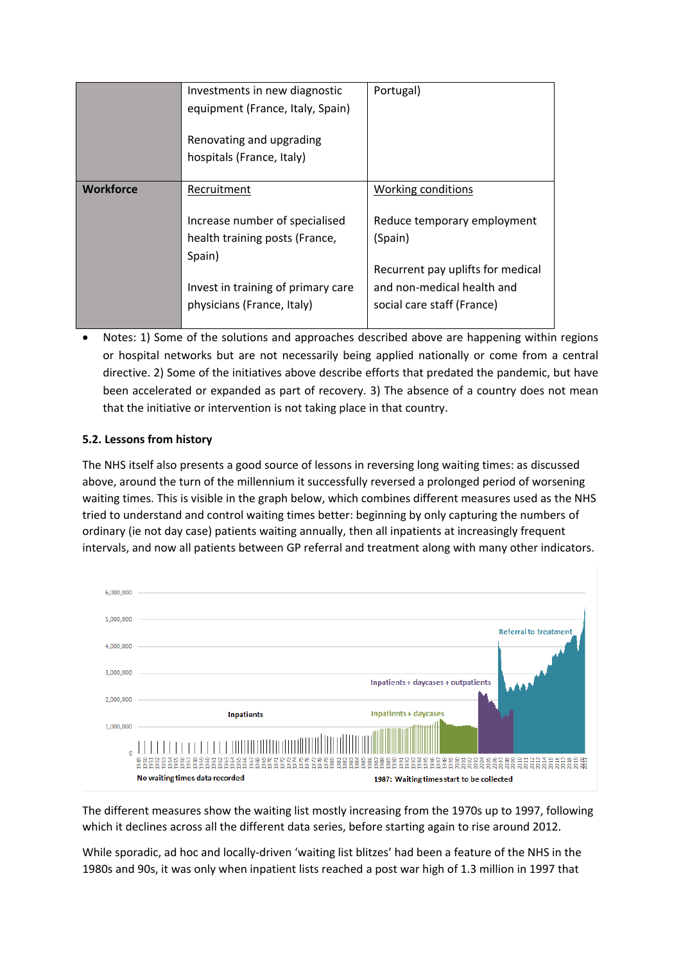|                  | Investments in new diagnostic<br>equipment (France, Italy, Spain)<br>Renovating and upgrading | Portugal)                                                       |
|------------------|-----------------------------------------------------------------------------------------------|-----------------------------------------------------------------|
|                  | hospitals (France, Italy)                                                                     |                                                                 |
| <b>Workforce</b> | Recruitment                                                                                   | Working conditions                                              |
|                  | Increase number of specialised                                                                | Reduce temporary employment                                     |
|                  | health training posts (France,<br>Spain)                                                      | (Spain)                                                         |
|                  | Invest in training of primary care                                                            | Recurrent pay uplifts for medical<br>and non-medical health and |
|                  | physicians (France, Italy)                                                                    | social care staff (France)                                      |

 Notes: 1) Some of the solutions and approaches described above are happening within regions or hospital networks but are not necessarily being applied nationally or come from a central directive. 2) Some of the initiatives above describe efforts that predated the pandemic, but have been accelerated or expanded as part of recovery. 3) The absence of a country does not mean that the initiative or intervention is not taking place in that country.

## **5.2. Lessons from history**

The NHS itself also presents a good source of lessons in reversing long waiting times: as discussed above, around the turn of the millennium it successfully reversed a prolonged period of worsening waiting times. This is visible in the graph below, which combines different measures used as the NHS tried to understand and control waiting times better: beginning by only capturing the numbers of ordinary (ie not day case) patients waiting annually, then all inpatients at increasingly frequent intervals, and now all patients between GP referral and treatment along with many other indicators.



The different measures show the waiting list mostly increasing from the 1970s up to 1997, following which it declines across all the different data series, before starting again to rise around 2012.

While sporadic, ad hoc and locally-driven 'waiting list blitzes' had been a feature of the NHS in the 1980s and 90s, it was only when inpatient lists reached a post war high of 1.3 million in 1997 that